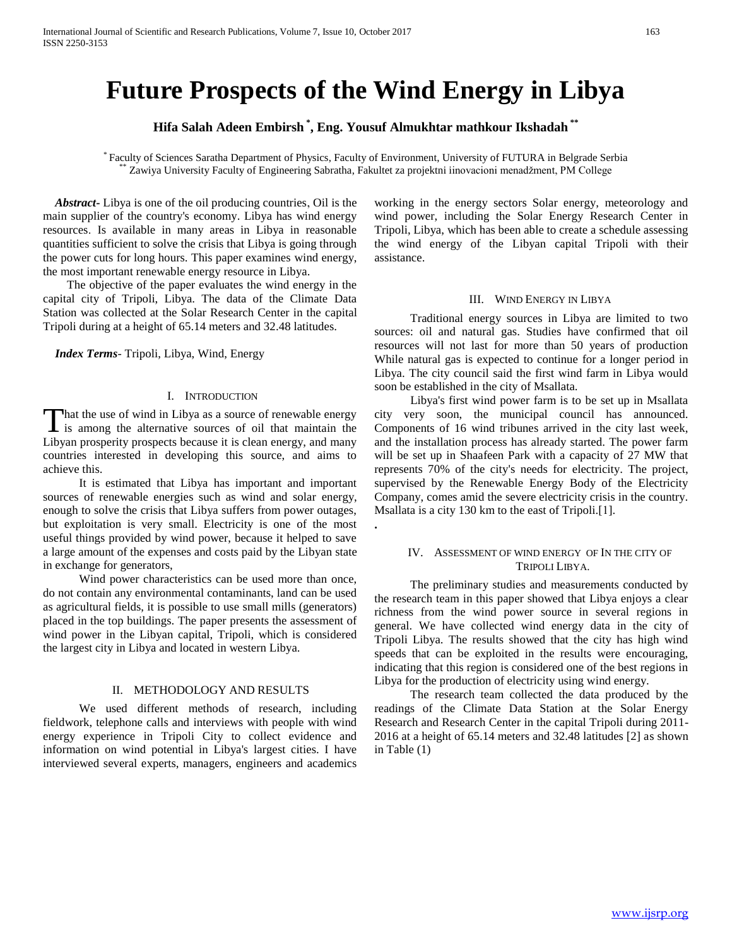# **Future Prospects of the Wind Energy in Libya**

# **Hifa Salah Adeen Embirsh \* , Eng. Yousuf Almukhtar mathkour Ikshadah \*\***

\* Faculty of Sciences Saratha Department of Physics, Faculty of Environment, University of FUTURA in Belgrade Serbia Zawiya University Faculty of Engineering Sabratha, Fakultet za projektni iinovacioni menadžment, PM College

 *Abstract***-** Libya is one of the oil producing countries, Oil is the main supplier of the country's economy. Libya has wind energy resources. Is available in many areas in Libya in reasonable quantities sufficient to solve the crisis that Libya is going through the power cuts for long hours. This paper examines wind energy, the most important renewable energy resource in Libya.

 The objective of the paper evaluates the wind energy in the capital city of Tripoli, Libya. The data of the Climate Data Station was collected at the Solar Research Center in the capital Tripoli during at a height of 65.14 meters and 32.48 latitudes.

 *Index Terms*- Tripoli, Libya, Wind, Energy

## I. INTRODUCTION

hat the use of wind in Libya as a source of renewable energy That the use of wind in Libya as a source of renewable energy<br>is among the alternative sources of oil that maintain the Libyan prosperity prospects because it is clean energy, and many countries interested in developing this source, and aims to achieve this.

 It is estimated that Libya has important and important sources of renewable energies such as wind and solar energy, enough to solve the crisis that Libya suffers from power outages, but exploitation is very small. Electricity is one of the most useful things provided by wind power, because it helped to save a large amount of the expenses and costs paid by the Libyan state in exchange for generators,

 Wind power characteristics can be used more than once, do not contain any environmental contaminants, land can be used as agricultural fields, it is possible to use small mills (generators) placed in the top buildings. The paper presents the assessment of wind power in the Libyan capital, Tripoli, which is considered the largest city in Libya and located in western Libya.

### II. METHODOLOGY AND RESULTS

 We used different methods of research, including fieldwork, telephone calls and interviews with people with wind energy experience in Tripoli City to collect evidence and information on wind potential in Libya's largest cities. I have interviewed several experts, managers, engineers and academics

working in the energy sectors Solar energy, meteorology and wind power, including the Solar Energy Research Center in Tripoli, Libya, which has been able to create a schedule assessing the wind energy of the Libyan capital Tripoli with their assistance.

#### III. WIND ENERGY IN LIBYA

 Traditional energy sources in Libya are limited to two sources: oil and natural gas. Studies have confirmed that oil resources will not last for more than 50 years of production While natural gas is expected to continue for a longer period in Libya. The city council said the first wind farm in Libya would soon be established in the city of Msallata.

 Libya's first wind power farm is to be set up in Msallata city very soon, the municipal council has announced. Components of 16 wind tribunes arrived in the city last week, and the installation process has already started. The power farm will be set up in Shaafeen Park with a capacity of 27 MW that represents 70% of the city's needs for electricity. The project, supervised by the Renewable Energy Body of the Electricity Company, comes amid the severe electricity crisis in the country. Msallata is a city 130 km to the east of Tripoli.[1].

**.**

# IV. ASSESSMENT OF WIND ENERGY OF IN THE CITY OF TRIPOLI LIBYA.

 The preliminary studies and measurements conducted by the research team in this paper showed that Libya enjoys a clear richness from the wind power source in several regions in general. We have collected wind energy data in the city of Tripoli Libya. The results showed that the city has high wind speeds that can be exploited in the results were encouraging, indicating that this region is considered one of the best regions in Libya for the production of electricity using wind energy.

 The research team collected the data produced by the readings of the Climate Data Station at the Solar Energy Research and Research Center in the capital Tripoli during 2011- 2016 at a height of 65.14 meters and 32.48 latitudes [2] as shown in Table (1)